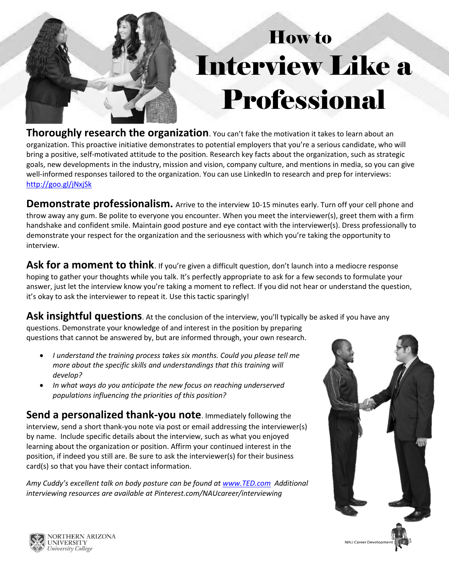

## How to Interview Like a Professional

 organization. This proactive initiative demonstrates to potential employers that you're a serious candidate, who will well-informed responses tailored to the organization. You can use LinkedIn to research and prep for interviews: <http://goo.gl/jNxjSk>**Thoroughly research the organization**. You can't fake the motivation it takes to learn about an bring a positive, self-motivated attitude to the position. Research key facts about the organization, such as strategic goals, new developments in the industry, mission and vision, company culture, and mentions in media, so you can give

 **Demonstrate professionalism.** Arrive to the interview 10-15 minutes early. Turn off your cell phone and throw away any gum. Be polite to everyone you encounter. When you meet the interviewer(s), greet them with a firm handshake and confident smile. Maintain good posture and eye contact with the interviewer(s). Dress professionally to demonstrate your respect for the organization and the seriousness with which you're taking the opportunity to interview.

Ask for a moment to think. If you're given a difficult question, don't launch into a mediocre response hoping to gather your thoughts while you talk. It's perfectly appropriate to ask for a few seconds to formulate your answer, just let the interview know you're taking a moment to reflect. If you did not hear or understand the question, it's okay to ask the interviewer to repeat it. Use this tactic sparingly!

**Ask insightful questions**. At the conclusion of the interview, you'll typically be asked if you have any questions. Demonstrate your knowledge of and interest in the position by preparing questions that cannot be answered by, but are informed through, your own research.

- *develop? I understand the training process takes six months. Could you please tell me more about the specific skills and understandings that this training will*
- *populations influencing the priorities of this position? In what ways do you anticipate the new focus on reaching underserved*

 by name. Include specific details about the interview, such as what you enjoyed **Send a personalized thank-you note**. Immediately following the interview, send a short thank-you note via post or email addressing the interviewer(s) learning about the organization or position. Affirm your continued interest in the position, if indeed you still are. Be sure to ask the interviewer(s) for their business card(s) so that you have their contact information.

 *Amy Cuddy's excellent talk on body posture can be found at [www.TED.com](http://www.ted.com/) Additional interviewing resources are available at [Pinterest.com/NAUcareer/interviewing](https://Pinterest.com/NAUcareer/interviewing)*